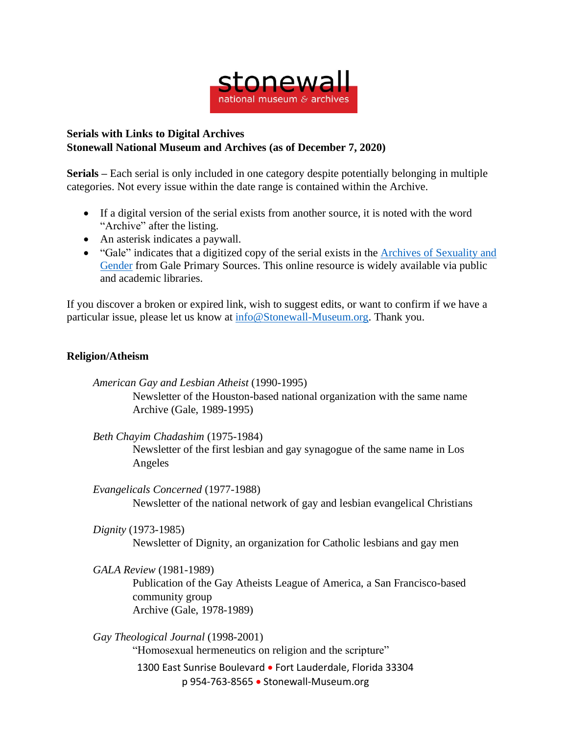

## **Serials with Links to Digital Archives Stonewall National Museum and Archives (as of December 7, 2020)**

**Serials –** Each serial is only included in one category despite potentially belonging in multiple categories. Not every issue within the date range is contained within the Archive.

- If a digital version of the serial exists from another source, it is noted with the word "Archive" after the listing.
- An asterisk indicates a paywall.
- "Gale" indicates that a digitized copy of the serial exists in the Archives of [Sexuality](https://www.gale.com/primary-sources/archives-of-sexuality-and-gender) and [Gender](https://www.gale.com/primary-sources/archives-of-sexuality-and-gender) from Gale Primary Sources. This online resource is widely available via public and academic libraries.

If you discover a broken or expired link, wish to suggest edits, or want to confirm if we have a particular issue, please let us know at [info@Stonewall-Museum.org.](mailto:info@Stonewall-Museum.org) Thank you.

## **Religion/Atheism**

*American Gay and Lesbian Atheist* (1990-1995) Newsletter of the Houston-based national organization with the same name Archive (Gale, 1989-1995)

*Beth Chayim Chadashim* (1975-1984) Newsletter of the first lesbian and gay synagogue of the same name in Los Angeles

*Evangelicals Concerned* (1977-1988) Newsletter of the national network of gay and lesbian evangelical Christians

*Dignity* (1973-1985)

Newsletter of Dignity, an organization for Catholic lesbians and gay men

*GALA Review* (1981-1989)

Publication of the Gay Atheists League of America, a San Francisco-based community group Archive (Gale, 1978-1989)

1300 East Sunrise Boulevard • Fort Lauderdale, Florida 33304 p 954-763-8565 • Stonewall-Museum.org *Gay Theological Journal* (1998-2001) "Homosexual hermeneutics on religion and the scripture"